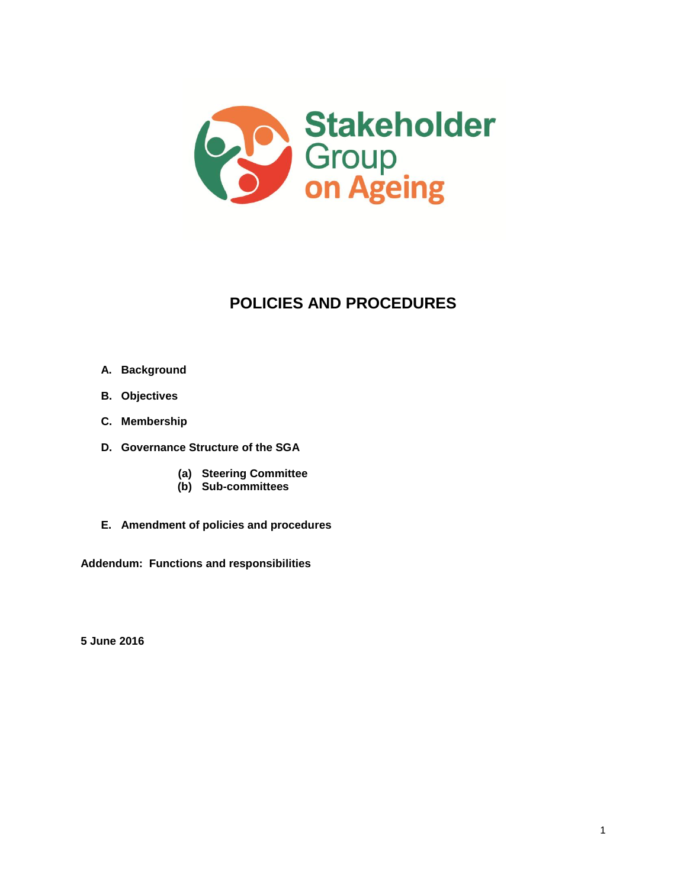

# **POLICIES AND PROCEDURES**

- **A. Background**
- **B. Objectives**
- **C. Membership**
- **D. Governance Structure of the SGA**
	- **(a) Steering Committee**
	- **(b) Sub-committees**
- **E. Amendment of policies and procedures**

**Addendum: Functions and responsibilities**

**5 June 2016**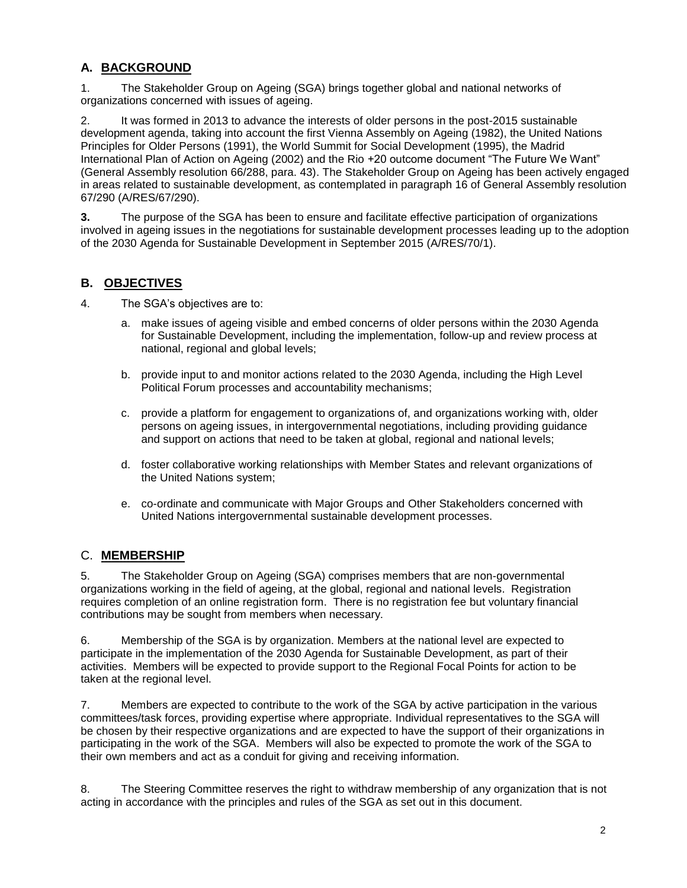# **A. BACKGROUND**

1. The Stakeholder Group on Ageing (SGA) brings together global and national networks of organizations concerned with issues of ageing.

2. It was formed in 2013 to advance the interests of older persons in the post-2015 sustainable development agenda, taking into account the first Vienna Assembly on Ageing (1982), the United Nations Principles for Older Persons (1991), the World Summit for Social Development (1995), the Madrid International Plan of Action on Ageing (2002) and the Rio +20 outcome document "The Future We Want" (General Assembly resolution 66/288, para. 43). The Stakeholder Group on Ageing has been actively engaged in areas related to sustainable development, as contemplated in paragraph 16 of General Assembly resolution 67/290 (A/RES/67/290).

**3.** The purpose of the SGA has been to ensure and facilitate effective participation of organizations involved in ageing issues in the negotiations for sustainable development processes leading up to the adoption of the 2030 Agenda for Sustainable Development in September 2015 (A/RES/70/1).

# **B. OBJECTIVES**

- 4. The SGA's objectives are to:
	- a. make issues of ageing visible and embed concerns of older persons within the 2030 Agenda for Sustainable Development, including the implementation, follow-up and review process at national, regional and global levels;
	- b. provide input to and monitor actions related to the 2030 Agenda, including the High Level Political Forum processes and accountability mechanisms;
	- c. provide a platform for engagement to organizations of, and organizations working with, older persons on ageing issues, in intergovernmental negotiations, including providing guidance and support on actions that need to be taken at global, regional and national levels;
	- d. foster collaborative working relationships with Member States and relevant organizations of the United Nations system;
	- e. co-ordinate and communicate with Major Groups and Other Stakeholders concerned with United Nations intergovernmental sustainable development processes.

## C. **MEMBERSHIP**

5. The Stakeholder Group on Ageing (SGA) comprises members that are non-governmental organizations working in the field of ageing, at the global, regional and national levels. Registration requires completion of an online registration form. There is no registration fee but voluntary financial contributions may be sought from members when necessary.

6. Membership of the SGA is by organization. Members at the national level are expected to participate in the implementation of the 2030 Agenda for Sustainable Development, as part of their activities. Members will be expected to provide support to the Regional Focal Points for action to be taken at the regional level.

7. Members are expected to contribute to the work of the SGA by active participation in the various committees/task forces, providing expertise where appropriate. Individual representatives to the SGA will be chosen by their respective organizations and are expected to have the support of their organizations in participating in the work of the SGA. Members will also be expected to promote the work of the SGA to their own members and act as a conduit for giving and receiving information.

8. The Steering Committee reserves the right to withdraw membership of any organization that is not acting in accordance with the principles and rules of the SGA as set out in this document.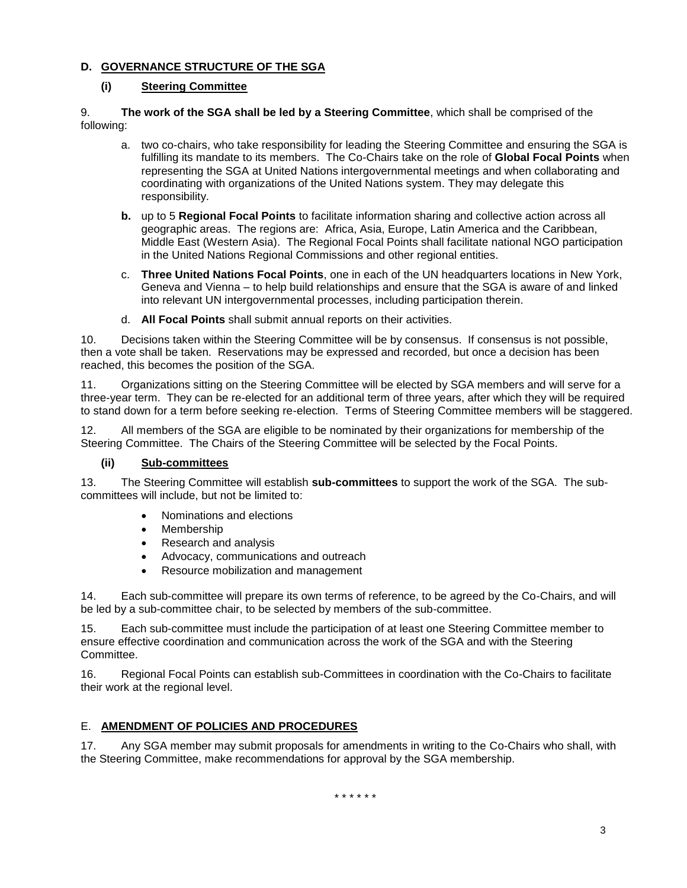#### **D. GOVERNANCE STRUCTURE OF THE SGA**

#### **(i) Steering Committee**

#### 9. **The work of the SGA shall be led by a Steering Committee**, which shall be comprised of the following:

- a. two co-chairs, who take responsibility for leading the Steering Committee and ensuring the SGA is fulfilling its mandate to its members. The Co-Chairs take on the role of **Global Focal Points** when representing the SGA at United Nations intergovernmental meetings and when collaborating and coordinating with organizations of the United Nations system. They may delegate this responsibility.
- **b.** up to 5 **Regional Focal Points** to facilitate information sharing and collective action across all geographic areas. The regions are: Africa, Asia, Europe, Latin America and the Caribbean, Middle East (Western Asia). The Regional Focal Points shall facilitate national NGO participation in the United Nations Regional Commissions and other regional entities.
- c. **Three United Nations Focal Points**, one in each of the UN headquarters locations in New York, Geneva and Vienna – to help build relationships and ensure that the SGA is aware of and linked into relevant UN intergovernmental processes, including participation therein.
- d. **All Focal Points** shall submit annual reports on their activities.

10. Decisions taken within the Steering Committee will be by consensus. If consensus is not possible, then a vote shall be taken. Reservations may be expressed and recorded, but once a decision has been reached, this becomes the position of the SGA.

11. Organizations sitting on the Steering Committee will be elected by SGA members and will serve for a three-year term. They can be re-elected for an additional term of three years, after which they will be required to stand down for a term before seeking re-election. Terms of Steering Committee members will be staggered.

12. All members of the SGA are eligible to be nominated by their organizations for membership of the Steering Committee. The Chairs of the Steering Committee will be selected by the Focal Points.

### **(ii) Sub-committees**

13. The Steering Committee will establish **sub-committees** to support the work of the SGA. The subcommittees will include, but not be limited to:

- Nominations and elections
- Membership
- Research and analysis
- Advocacy, communications and outreach
- Resource mobilization and management

14. Each sub-committee will prepare its own terms of reference, to be agreed by the Co-Chairs, and will be led by a sub-committee chair, to be selected by members of the sub-committee.

15. Each sub-committee must include the participation of at least one Steering Committee member to ensure effective coordination and communication across the work of the SGA and with the Steering Committee.

16. Regional Focal Points can establish sub-Committees in coordination with the Co-Chairs to facilitate their work at the regional level.

### E. **AMENDMENT OF POLICIES AND PROCEDURES**

17. Any SGA member may submit proposals for amendments in writing to the Co-Chairs who shall, with the Steering Committee, make recommendations for approval by the SGA membership.

\* \* \* \* \* \*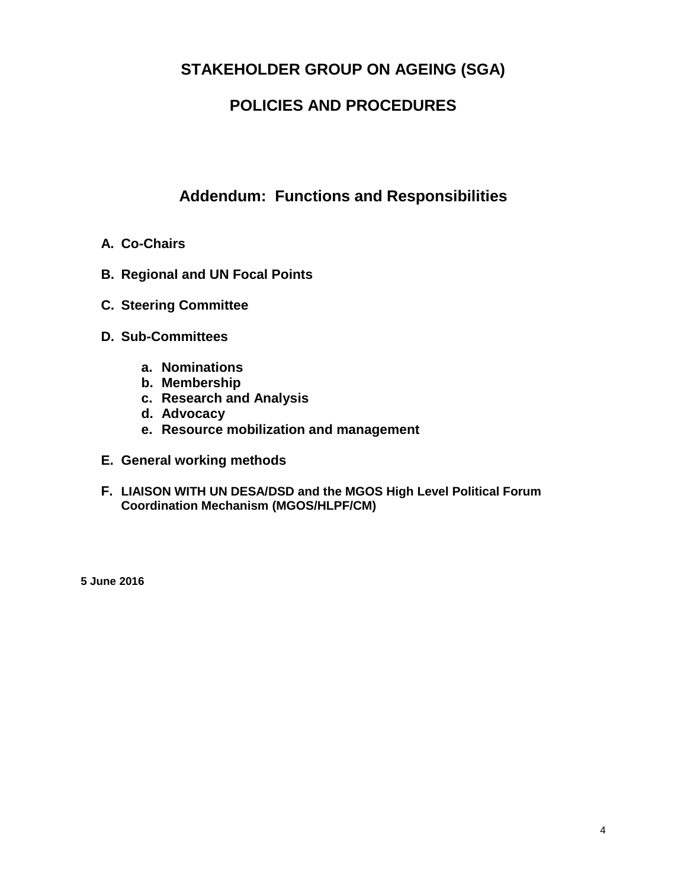# **STAKEHOLDER GROUP ON AGEING (SGA)**

# **POLICIES AND PROCEDURES**

# **Addendum: Functions and Responsibilities**

- **A. Co-Chairs**
- **B. Regional and UN Focal Points**
- **C. Steering Committee**
- **D. Sub-Committees**
	- **a. Nominations**
	- **b. Membership**
	- **c. Research and Analysis**
	- **d. Advocacy**
	- **e. Resource mobilization and management**
- **E. General working methods**
- **F. LIAISON WITH UN DESA/DSD and the MGOS High Level Political Forum Coordination Mechanism (MGOS/HLPF/CM)**

**5 June 2016**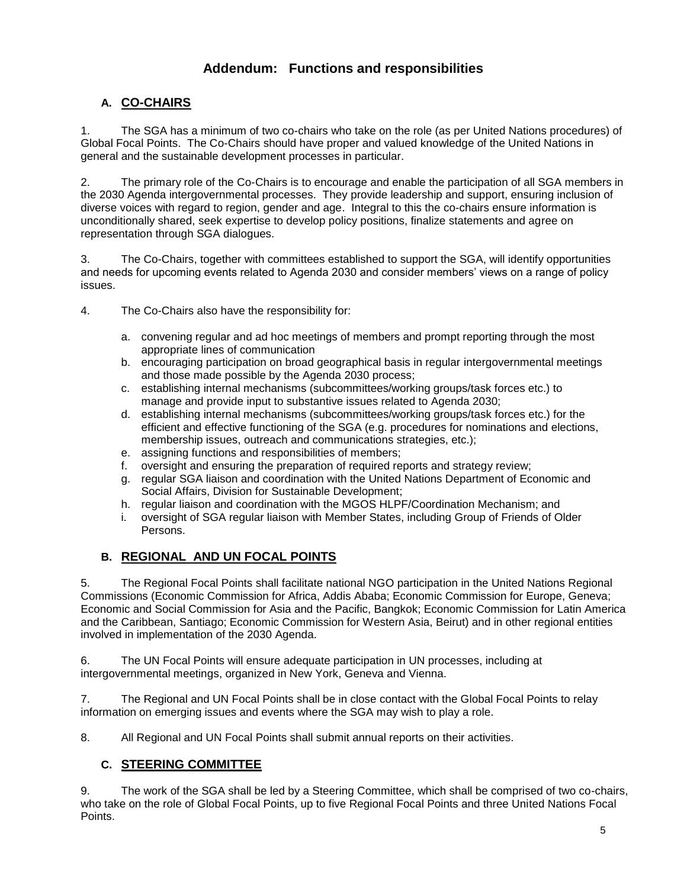# **Addendum: Functions and responsibilities**

## **A. CO-CHAIRS**

1. The SGA has a minimum of two co-chairs who take on the role (as per United Nations procedures) of Global Focal Points. The Co-Chairs should have proper and valued knowledge of the United Nations in general and the sustainable development processes in particular.

2. The primary role of the Co-Chairs is to encourage and enable the participation of all SGA members in the 2030 Agenda intergovernmental processes. They provide leadership and support, ensuring inclusion of diverse voices with regard to region, gender and age. Integral to this the co-chairs ensure information is unconditionally shared, seek expertise to develop policy positions, finalize statements and agree on representation through SGA dialogues.

3. The Co-Chairs, together with committees established to support the SGA, will identify opportunities and needs for upcoming events related to Agenda 2030 and consider members' views on a range of policy issues.

4. The Co-Chairs also have the responsibility for:

- a. convening regular and ad hoc meetings of members and prompt reporting through the most appropriate lines of communication
- b. encouraging participation on broad geographical basis in regular intergovernmental meetings and those made possible by the Agenda 2030 process;
- c. establishing internal mechanisms (subcommittees/working groups/task forces etc.) to manage and provide input to substantive issues related to Agenda 2030;
- d. establishing internal mechanisms (subcommittees/working groups/task forces etc.) for the efficient and effective functioning of the SGA (e.g. procedures for nominations and elections, membership issues, outreach and communications strategies, etc.);
- e. assigning functions and responsibilities of members;
- f. oversight and ensuring the preparation of required reports and strategy review;
- g. regular SGA liaison and coordination with the United Nations Department of Economic and Social Affairs, Division for Sustainable Development;
- h. regular liaison and coordination with the MGOS HLPF/Coordination Mechanism; and
- i. oversight of SGA regular liaison with Member States, including Group of Friends of Older Persons.

## **B. REGIONAL AND UN FOCAL POINTS**

5. The Regional Focal Points shall facilitate national NGO participation in the United Nations Regional Commissions (Economic Commission for Africa, Addis Ababa; Economic Commission for Europe, Geneva; Economic and Social Commission for Asia and the Pacific, Bangkok; Economic Commission for Latin America and the Caribbean, Santiago; Economic Commission for Western Asia, Beirut) and in other regional entities involved in implementation of the 2030 Agenda.

6. The UN Focal Points will ensure adequate participation in UN processes, including at intergovernmental meetings, organized in New York, Geneva and Vienna.

7. The Regional and UN Focal Points shall be in close contact with the Global Focal Points to relay information on emerging issues and events where the SGA may wish to play a role.

8. All Regional and UN Focal Points shall submit annual reports on their activities.

## **C. STEERING COMMITTEE**

9. The work of the SGA shall be led by a Steering Committee, which shall be comprised of two co-chairs, who take on the role of Global Focal Points, up to five Regional Focal Points and three United Nations Focal Points.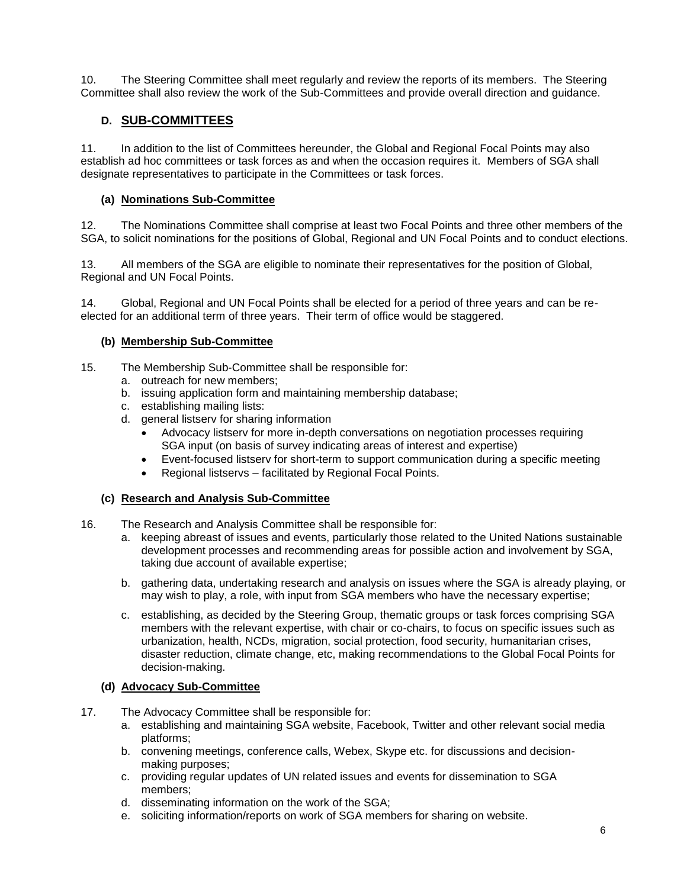10. The Steering Committee shall meet regularly and review the reports of its members. The Steering Committee shall also review the work of the Sub-Committees and provide overall direction and guidance.

## **D. SUB-COMMITTEES**

11. In addition to the list of Committees hereunder, the Global and Regional Focal Points may also establish ad hoc committees or task forces as and when the occasion requires it. Members of SGA shall designate representatives to participate in the Committees or task forces.

### **(a) Nominations Sub-Committee**

12. The Nominations Committee shall comprise at least two Focal Points and three other members of the SGA, to solicit nominations for the positions of Global, Regional and UN Focal Points and to conduct elections.

13. All members of the SGA are eligible to nominate their representatives for the position of Global, Regional and UN Focal Points.

14. Global, Regional and UN Focal Points shall be elected for a period of three years and can be reelected for an additional term of three years. Their term of office would be staggered.

### **(b) Membership Sub-Committee**

15. The Membership Sub-Committee shall be responsible for:

- a. outreach for new members;
	- b. issuing application form and maintaining membership database;
	- c. establishing mailing lists:
	- d. general listserv for sharing information
		- Advocacy listserv for more in-depth conversations on negotiation processes requiring SGA input (on basis of survey indicating areas of interest and expertise)
		- Event-focused listserv for short-term to support communication during a specific meeting
		- Regional listservs facilitated by Regional Focal Points.

### **(c) Research and Analysis Sub-Committee**

- 16. The Research and Analysis Committee shall be responsible for:
	- a. keeping abreast of issues and events, particularly those related to the United Nations sustainable development processes and recommending areas for possible action and involvement by SGA, taking due account of available expertise;
	- b. gathering data, undertaking research and analysis on issues where the SGA is already playing, or may wish to play, a role, with input from SGA members who have the necessary expertise;
	- c. establishing, as decided by the Steering Group, thematic groups or task forces comprising SGA members with the relevant expertise, with chair or co-chairs, to focus on specific issues such as urbanization, health, NCDs, migration, social protection, food security, humanitarian crises, disaster reduction, climate change, etc, making recommendations to the Global Focal Points for decision-making.

#### **(d) Advocacy Sub-Committee**

- 17. The Advocacy Committee shall be responsible for:
	- a. establishing and maintaining SGA website, Facebook, Twitter and other relevant social media platforms;
	- b. convening meetings, conference calls, Webex, Skype etc. for discussions and decisionmaking purposes;
	- c. providing regular updates of UN related issues and events for dissemination to SGA members;
	- d. disseminating information on the work of the SGA;
	- e. soliciting information/reports on work of SGA members for sharing on website.